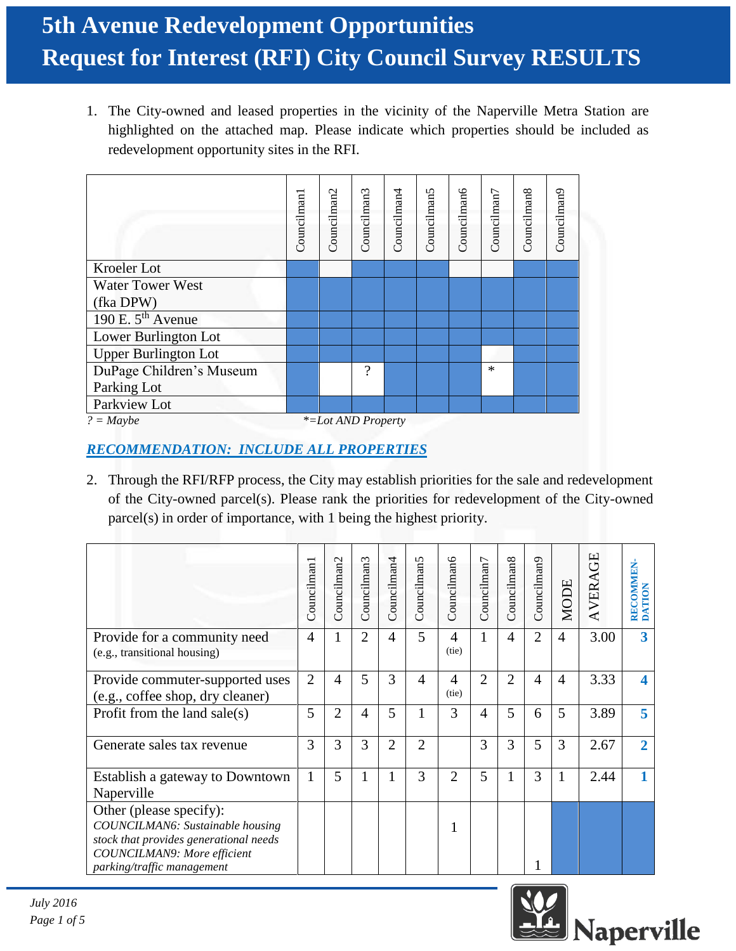# **5th Avenue Redevelopment Opportunities Request for Interest (RFI) City Council Survey RESULTS**

1. The City-owned and leased properties in the vicinity of the Naperville Metra Station are highlighted on the attached map. Please indicate which properties should be included as redevelopment opportunity sites in the RFI.

|                                   | Councilman1 | Councilman2 | Councilman3 | Councilman <sup>4</sup> | Councilman5 | Councilman6 | Councilman7 | Councilman8 | Councilman9 |
|-----------------------------------|-------------|-------------|-------------|-------------------------|-------------|-------------|-------------|-------------|-------------|
| Kroeler Lot                       |             |             |             |                         |             |             |             |             |             |
| <b>Water Tower West</b>           |             |             |             |                         |             |             |             |             |             |
| (fka DPW)                         |             |             |             |                         |             |             |             |             |             |
| 190 E. 5 <sup>th</sup> Avenue     |             |             |             |                         |             |             |             |             |             |
| Lower Burlington Lot              |             |             |             |                         |             |             |             |             |             |
| <b>Upper Burlington Lot</b>       |             |             |             |                         |             |             |             |             |             |
| DuPage Children's Museum          |             |             | ?           |                         |             |             | $\ast$      |             |             |
| Parking Lot                       |             |             |             |                         |             |             |             |             |             |
| Parkview Lot                      |             |             |             |                         |             |             |             |             |             |
| $? = Maybe$<br>*=Lot AND Property |             |             |             |                         |             |             |             |             |             |

### *RECOMMENDATION: INCLUDE ALL PROPERTIES*

2. Through the RFI/RFP process, the City may establish priorities for the sale and redevelopment of the City-owned parcel(s). Please rank the priorities for redevelopment of the City-owned parcel(s) in order of importance, with 1 being the highest priority.

|                                                                                                                                                                    | Councilman1    | Councilman2 | Councilman3    | Councilman4    | Councilman5    | Councilman6             | Councilman7    | Councilman8    | Councilman9    | <b>MODE</b>    | AVERAGE | RECOMMEN-<br><b>DATION</b> |
|--------------------------------------------------------------------------------------------------------------------------------------------------------------------|----------------|-------------|----------------|----------------|----------------|-------------------------|----------------|----------------|----------------|----------------|---------|----------------------------|
| Provide for a community need<br>(e.g., transitional housing)                                                                                                       | $\overline{4}$ | 1           | $\overline{2}$ | $\overline{4}$ | 5              | $\overline{4}$<br>(tie) | 1              | $\overline{4}$ | $\overline{2}$ | $\overline{4}$ | 3.00    | $\overline{\mathbf{3}}$    |
| Provide commuter-supported uses<br>(e.g., coffee shop, dry cleaner)                                                                                                | $\overline{2}$ | 4           | 5              | 3              | $\overline{4}$ | 4<br>(tie)              | $\overline{2}$ | $\overline{2}$ | $\overline{4}$ | $\overline{4}$ | 3.33    | 4                          |
| Profit from the land sale(s)                                                                                                                                       | 5              | 2           | $\overline{4}$ | 5              | 1              | 3                       | 4              | 5              | 6              | 5              | 3.89    | 5                          |
| Generate sales tax revenue                                                                                                                                         | 3              | 3           | 3              | $\overline{2}$ | $\overline{2}$ |                         | 3              | 3              | 5              | 3              | 2.67    | $\overline{2}$             |
| Establish a gateway to Downtown<br>Naperville                                                                                                                      | 1              | 5           | 1              |                | 3              | $\overline{2}$          | 5              | 1              | 3              | 1              | 2.44    |                            |
| Other (please specify):<br>COUNCILMAN6: Sustainable housing<br>stock that provides generational needs<br>COUNCILMAN9: More efficient<br>parking/traffic management |                |             |                |                |                |                         |                |                |                |                |         |                            |

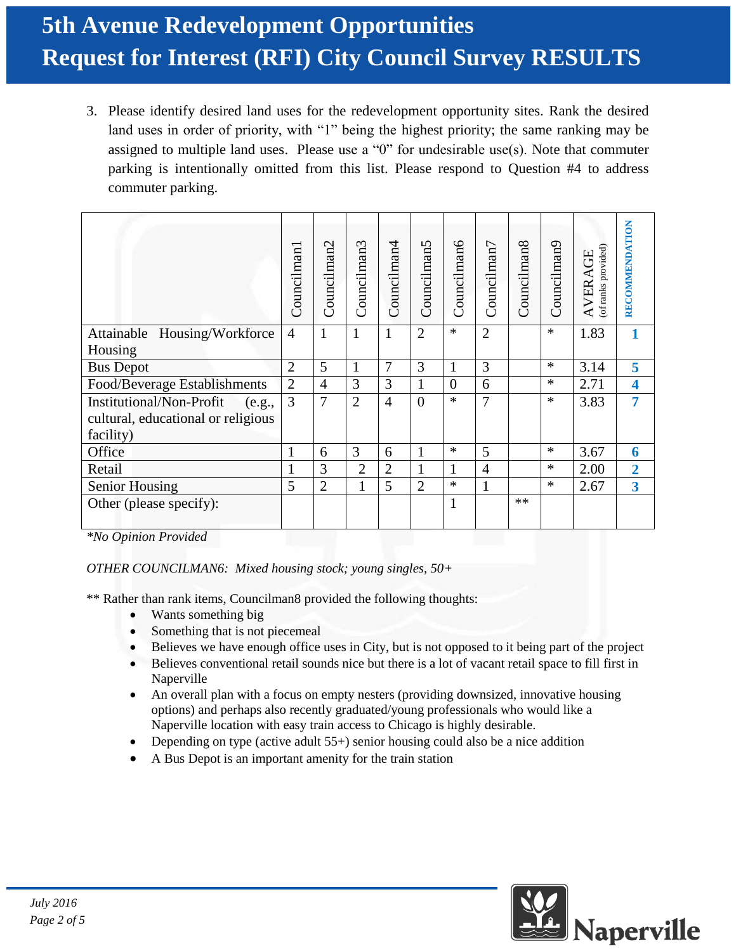# **5th Avenue Redevelopment Opportunities Request for Interest (RFI) City Council Survey RESULTS**

3. Please identify desired land uses for the redevelopment opportunity sites. Rank the desired land uses in order of priority, with "1" being the highest priority; the same ranking may be assigned to multiple land uses. Please use a "0" for undesirable use(s). Note that commuter parking is intentionally omitted from this list. Please respond to Question #4 to address commuter parking.

|                                    | Councilman     | Councilman2    | Councilman3    | Councilman <sup>4</sup> | Councilman5    | <b>Councilman6</b> | Councilman7    | Councilman <sub>8</sub> | Councilman9 | of ranks provided)<br>AVERAGE | RECOMMENDATION          |
|------------------------------------|----------------|----------------|----------------|-------------------------|----------------|--------------------|----------------|-------------------------|-------------|-------------------------------|-------------------------|
| Attainable Housing/Workforce       | $\overline{4}$ | 1              | 1              | $\mathbf{1}$            | $\overline{2}$ | $\ast$             | $\overline{2}$ |                         | $\ast$      | 1.83                          |                         |
| Housing                            |                |                |                |                         |                |                    |                |                         |             |                               |                         |
| <b>Bus Depot</b>                   | $\overline{2}$ | 5              | 1              | 7                       | 3              | 1                  | 3              |                         | $\ast$      | 3.14                          | 5                       |
| Food/Beverage Establishments       | $\overline{2}$ | $\overline{4}$ | 3              | 3                       | $\mathbf{1}$   | $\theta$           | 6              |                         | $\ast$      | 2.71                          | 4                       |
| Institutional/Non-Profit<br>(e.g., | 3              | $\overline{7}$ | $\overline{2}$ | $\overline{4}$          | $\theta$       | $\ast$             | 7              |                         | $\ast$      | 3.83                          | 7                       |
| cultural, educational or religious |                |                |                |                         |                |                    |                |                         |             |                               |                         |
| facility)                          |                |                |                |                         |                |                    |                |                         |             |                               |                         |
| Office                             | 1              | 6              | 3              | 6                       | 1              | $\ast$             | 5              |                         | $\ast$      | 3.67                          | 6                       |
| Retail                             |                | 3              | $\overline{2}$ | $\overline{2}$          | $\mathbf{1}$   | 1                  | $\overline{4}$ |                         | $\ast$      | 2.00                          | $\overline{2}$          |
| <b>Senior Housing</b>              | 5              | $\overline{2}$ | $\mathbf{1}$   | 5                       | $\overline{2}$ | $\ast$             | $\mathbf{1}$   |                         | $\ast$      | 2.67                          | $\overline{\mathbf{3}}$ |
| Other (please specify):            |                |                |                |                         |                | $\mathbf{1}$       |                | $**$                    |             |                               |                         |

*\*No Opinion Provided*

#### *OTHER COUNCILMAN6: Mixed housing stock; young singles, 50+*

\*\* Rather than rank items, Councilman8 provided the following thoughts:

- Wants something big
- Something that is not piecemeal
- Believes we have enough office uses in City, but is not opposed to it being part of the project
- Believes conventional retail sounds nice but there is a lot of vacant retail space to fill first in Naperville
- An overall plan with a focus on empty nesters (providing downsized, innovative housing options) and perhaps also recently graduated/young professionals who would like a Naperville location with easy train access to Chicago is highly desirable.
- Depending on type (active adult 55+) senior housing could also be a nice addition
- A Bus Depot is an important amenity for the train station

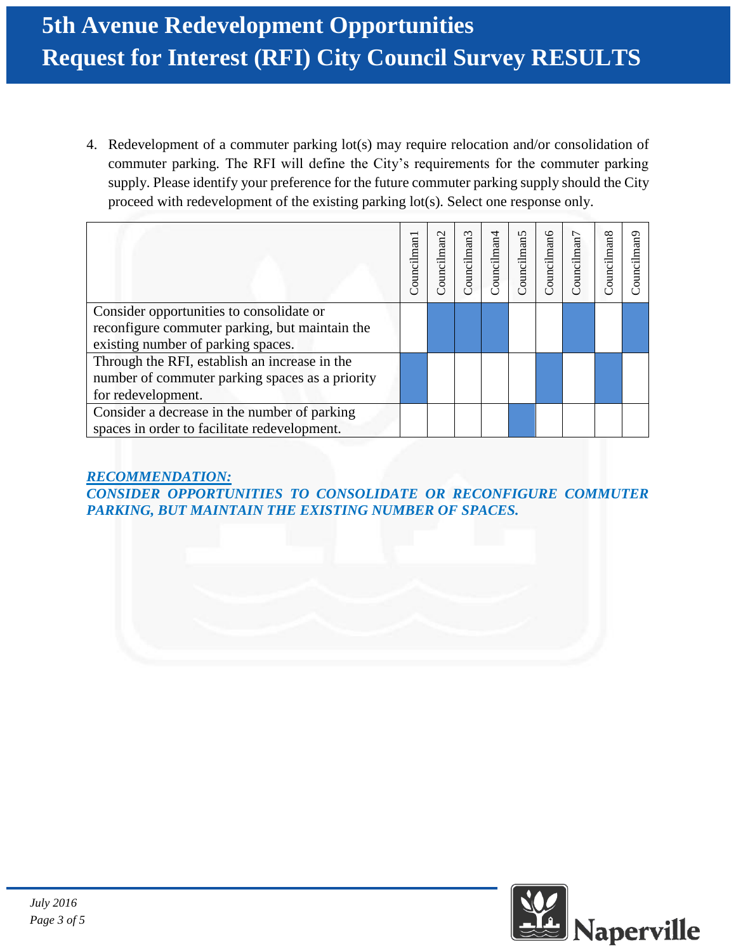4. Redevelopment of a commuter parking lot(s) may require relocation and/or consolidation of commuter parking. The RFI will define the City's requirements for the commuter parking supply. Please identify your preference for the future commuter parking supply should the City proceed with redevelopment of the existing parking lot(s). Select one response only.

|                                                                                                                                  | Councilman | $\mathbf{\sim}$<br>an<br>ouncilma | Councilman3 | ouncilman4 | Councilman5 | Councilman6 | ouncilman7 | ouncilman <sub>8</sub> | ouncilman9 |
|----------------------------------------------------------------------------------------------------------------------------------|------------|-----------------------------------|-------------|------------|-------------|-------------|------------|------------------------|------------|
| Consider opportunities to consolidate or<br>reconfigure commuter parking, but maintain the<br>existing number of parking spaces. |            |                                   |             |            |             |             |            |                        |            |
| Through the RFI, establish an increase in the<br>number of commuter parking spaces as a priority<br>for redevelopment.           |            |                                   |             |            |             |             |            |                        |            |
| Consider a decrease in the number of parking<br>spaces in order to facilitate redevelopment.                                     |            |                                   |             |            |             |             |            |                        |            |

*RECOMMENDATION: CONSIDER OPPORTUNITIES TO CONSOLIDATE OR RECONFIGURE COMMUTER PARKING, BUT MAINTAIN THE EXISTING NUMBER OF SPACES.*

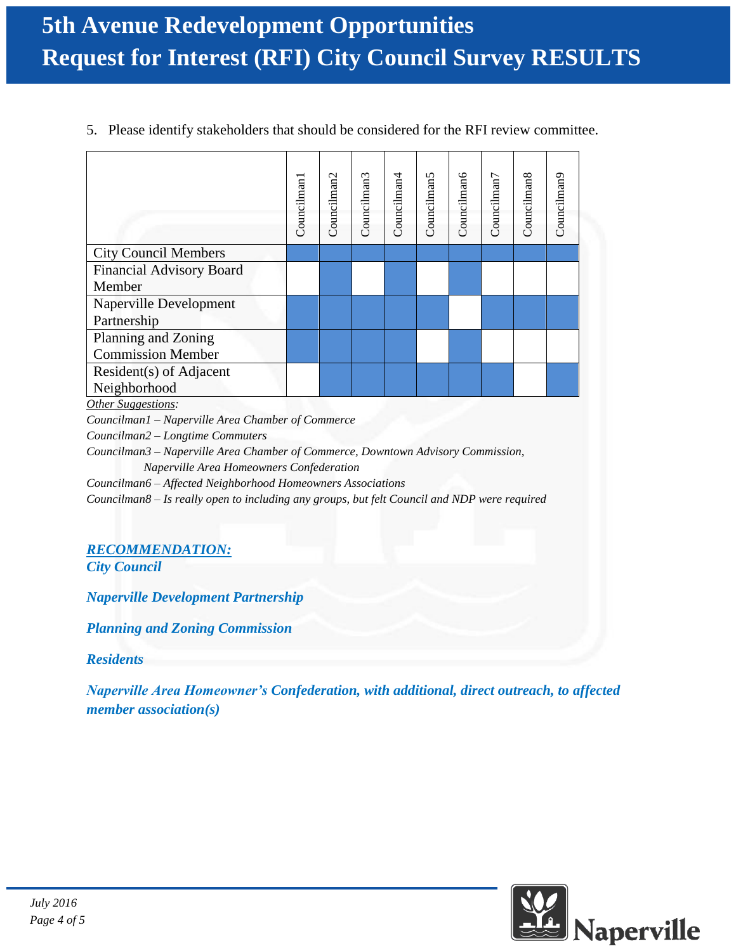5. Please identify stakeholders that should be considered for the RFI review committee.

|                                                   | Councilman | Councilman2 | Councilman3 | Councilman <sup>4</sup> | Councilman5 | Councilman6 | Councilman <sub>7</sub> | Councilman8 | Councilman9 |
|---------------------------------------------------|------------|-------------|-------------|-------------------------|-------------|-------------|-------------------------|-------------|-------------|
| <b>City Council Members</b>                       |            |             |             |                         |             |             |                         |             |             |
| <b>Financial Advisory Board</b>                   |            |             |             |                         |             |             |                         |             |             |
| Member                                            |            |             |             |                         |             |             |                         |             |             |
| <b>Naperville Development</b>                     |            |             |             |                         |             |             |                         |             |             |
| Partnership                                       |            |             |             |                         |             |             |                         |             |             |
| Planning and Zoning                               |            |             |             |                         |             |             |                         |             |             |
| <b>Commission Member</b>                          |            |             |             |                         |             |             |                         |             |             |
| Resident(s) of Adjacent                           |            |             |             |                         |             |             |                         |             |             |
| Neighborhood                                      |            |             |             |                         |             |             |                         |             |             |
| Other Suggestions:                                |            |             |             |                         |             |             |                         |             |             |
| Councilman1 - Naperville Area Chamber of Commerce |            |             |             |                         |             |             |                         |             |             |

*Councilman2 – Longtime Commuters*

*Councilman3 – Naperville Area Chamber of Commerce, Downtown Advisory Commission, Naperville Area Homeowners Confederation*

*Councilman6 – Affected Neighborhood Homeowners Associations*

*Councilman8 – Is really open to including any groups, but felt Council and NDP were required*

### *RECOMMENDATION:*

*City Council*

*Naperville Development Partnership*

*Planning and Zoning Commission*

*Residents* 

*Naperville Area Homeowner's Confederation, with additional, direct outreach, to affected member association(s)*